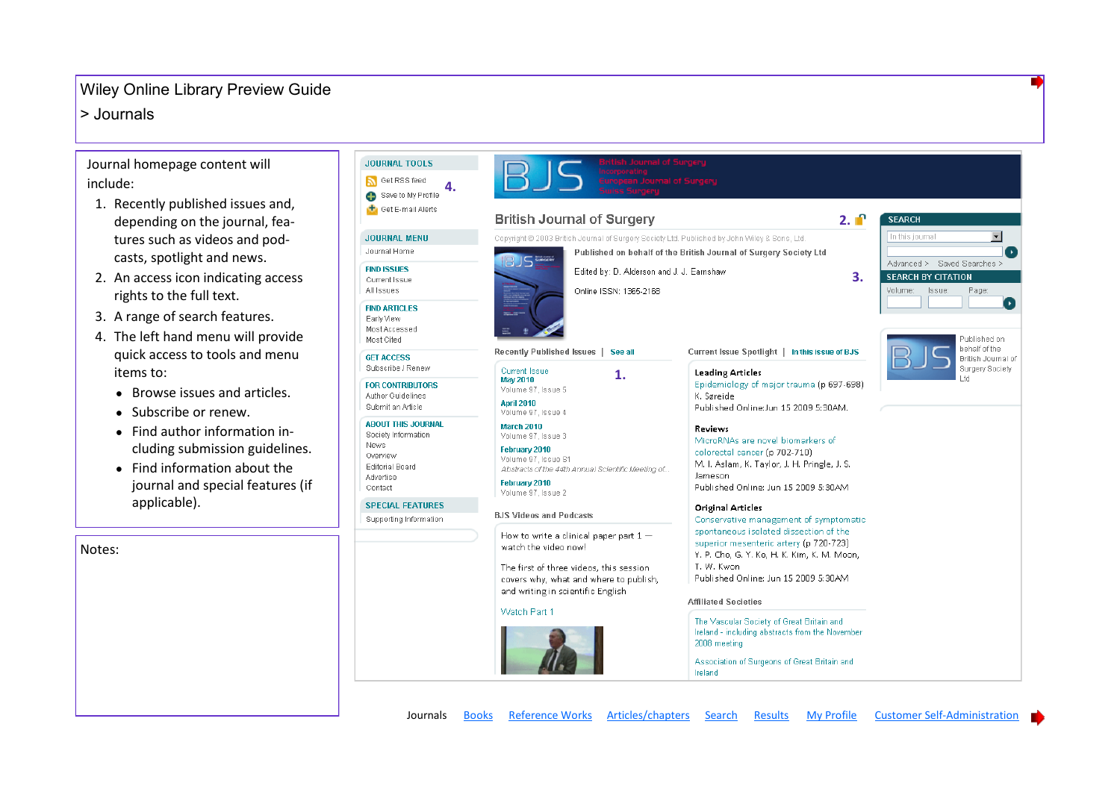### <span id="page-0-0"></span> $\vert$  > Journals

Notes:

Journal homepage content will include:

- 1. Recently published issues and, depending on the journal, features such as videos and podcasts, spotlight and news.
- 2. An access icon indicating access rights to the full text.
- 3. A range of search features.
- 4. The left hand menu will provide quick access to tools and menu items to:
	- Browse issues and articles.
	- Subscribe or renew.
	- Find author information in-

Find information about the  $\bullet$ 

| cluding submission guidelines.<br>Find information about the<br>journal and special features (if | News:<br>Overview<br><b>Editorial Board</b><br>Advertise<br>Contact | February 2010<br>Volume 97, Issue S1<br>Abstracts of the 44th Annual Scientific Meeting of<br>February 2010<br>Volume 97, Issue 2                                                         | ivildrukiyes are novel plumarkers or<br>colorectal cancer (p 702-710)<br>M. I. Aslam, K. Taylor, J. H. Pringle, J. S.<br>Jameson<br>Published Online: Jun 15 2009 5:30AM                                             |                                     |
|--------------------------------------------------------------------------------------------------|---------------------------------------------------------------------|-------------------------------------------------------------------------------------------------------------------------------------------------------------------------------------------|----------------------------------------------------------------------------------------------------------------------------------------------------------------------------------------------------------------------|-------------------------------------|
| applicable).                                                                                     | <b>SPECIAL FEATURES</b><br>Supporting Information                   | <b>BJS Videos and Podcasts</b>                                                                                                                                                            | <b>Original Articles</b><br>Conservative management of symptomatic                                                                                                                                                   |                                     |
|                                                                                                  |                                                                     | How to write a clinical paper part $1-$<br>watch the video now!<br>The first of three videos, this session<br>covers why, what and where to publish,<br>and writing in scientific English | spontaneous isolated dissection of the<br>superior mesenteric artery (p 720-723)<br>Y. P. Cho, G. Y. Ko, H. K. Kim, K. M. Moon,<br>T. W. Kwon<br>Published Online: Jun 15 2009 5:30AM<br><b>Affiliated Societies</b> |                                     |
|                                                                                                  |                                                                     | Watch Part 1                                                                                                                                                                              | The Vascular Society of Great Britain and<br>Ireland - including abstracts from the November<br>2008 meeting<br>Association of Surgeons of Great Britain and<br>Ireland                                              |                                     |
|                                                                                                  | Journals                                                            | Reference Works Articles/chapters<br><b>Books</b>                                                                                                                                         | My Profile<br>Search<br>Results                                                                                                                                                                                      | <b>Customer Self-Administration</b> |

| <b>JOURNAL TOOLS</b><br>Get RSS feed<br>4.<br>Save to My Profile<br>Get E-mail Alerts                                  | BJS I<br><b>British Journal of Surgery</b>                                                                                                                                                                                  | $2. \blacksquare$                                                                                                                                                                                                                                              | <b>SEARCH</b>                         |
|------------------------------------------------------------------------------------------------------------------------|-----------------------------------------------------------------------------------------------------------------------------------------------------------------------------------------------------------------------------|----------------------------------------------------------------------------------------------------------------------------------------------------------------------------------------------------------------------------------------------------------------|---------------------------------------|
| <b>JOURNAL MENU</b>                                                                                                    | Copyright @ 2003 British Journal of Surgery Society Ltd. Published by John Wiley & Sons, Ltd.                                                                                                                               |                                                                                                                                                                                                                                                                | In this journal                       |
| Journal Home                                                                                                           |                                                                                                                                                                                                                             | Published on behalf of the British Journal of Surgery Society Ltd                                                                                                                                                                                              |                                       |
| <b>FIND ISSUES</b><br>Current Issue<br>All Issues                                                                      | <b>IBJS WWW</b><br>Edited by: D. Alderson and J. J. Earnshaw<br>Online ISSN: 1365-2168                                                                                                                                      | Advanced > Saved Searches ><br><b>SEARCH BY CITATION</b><br>Volume:<br>Issue:<br>Page:                                                                                                                                                                         |                                       |
| <b>FIND ARTICLES</b><br>Early View<br>Most Accessed<br>Most Cited                                                      |                                                                                                                                                                                                                             |                                                                                                                                                                                                                                                                | ×<br>Published on<br>behalf of the    |
| <b>GET ACCESS</b><br>Subscribe / Renew                                                                                 | Recently Published Issues  <br>See all<br><b>Current Issue</b><br>1.                                                                                                                                                        | Current Issue Spotlight   In this issue of BJS<br><b>Leading Articles</b>                                                                                                                                                                                      | British Journal of<br>Surgery Society |
| <b>FOR CONTRIBUTORS</b><br>Author Guidelines<br>Submit an Article                                                      | May 2010<br>Volume 97, Issue 5<br><b>April 2010</b><br>Volume 97, Issue 4                                                                                                                                                   | Epidemiology of major trauma (p 697-698)<br>K. Søreide<br>Published Online:Jun 15 2009 5:30AM.                                                                                                                                                                 | Ltd                                   |
| <b>ABOUT THIS JOURNAL</b><br>Society Information<br>News<br>Overview<br><b>Editorial Board</b><br>Advertise<br>Contact | <b>March 2010</b><br>Volume 97, Issue 3<br>February 2010<br>Volume 97, Issue S1<br>Abstracts of the 44th Annual Scientific Meeting of<br>February 2010<br>Volume 97, Issue 2                                                | Reviews<br>MicroRNAs are novel biomarkers of<br>colorectal cancer (p 702-710)<br>M. I. Aslam, K. Taylor, J. H. Pringle, J. S.<br>Jameson<br>Published Online: Jun 15 2009 5:30AM                                                                               |                                       |
| <b>SPECIAL FEATURES</b>                                                                                                |                                                                                                                                                                                                                             | <b>Original Articles</b>                                                                                                                                                                                                                                       |                                       |
| Supporting Information                                                                                                 | <b>BJS Videos and Podcasts</b><br>How to write a clinical paper part $1-$<br>watch the video now!<br>The first of three videos, this session<br>covers why, what and where to publish,<br>and writing in scientific English | Conservative management of symptomatic<br>spontaneous isolated dissection of the<br>superior mesenteric artery (p 720-723)<br>Y. P. Cho, G. Y. Ko, H. K. Kim, K. M. Moon,<br>T. W. Kwon<br>Published Online: Jun 15 2009 5:30AM<br><b>Affiliated Societies</b> |                                       |
|                                                                                                                        | Watch Part 1                                                                                                                                                                                                                | The Vascular Society of Great Britain and<br>Ireland - including abstracts from the November<br>2008 meeting<br>Association of Surgeons of Great Britain and                                                                                                   |                                       |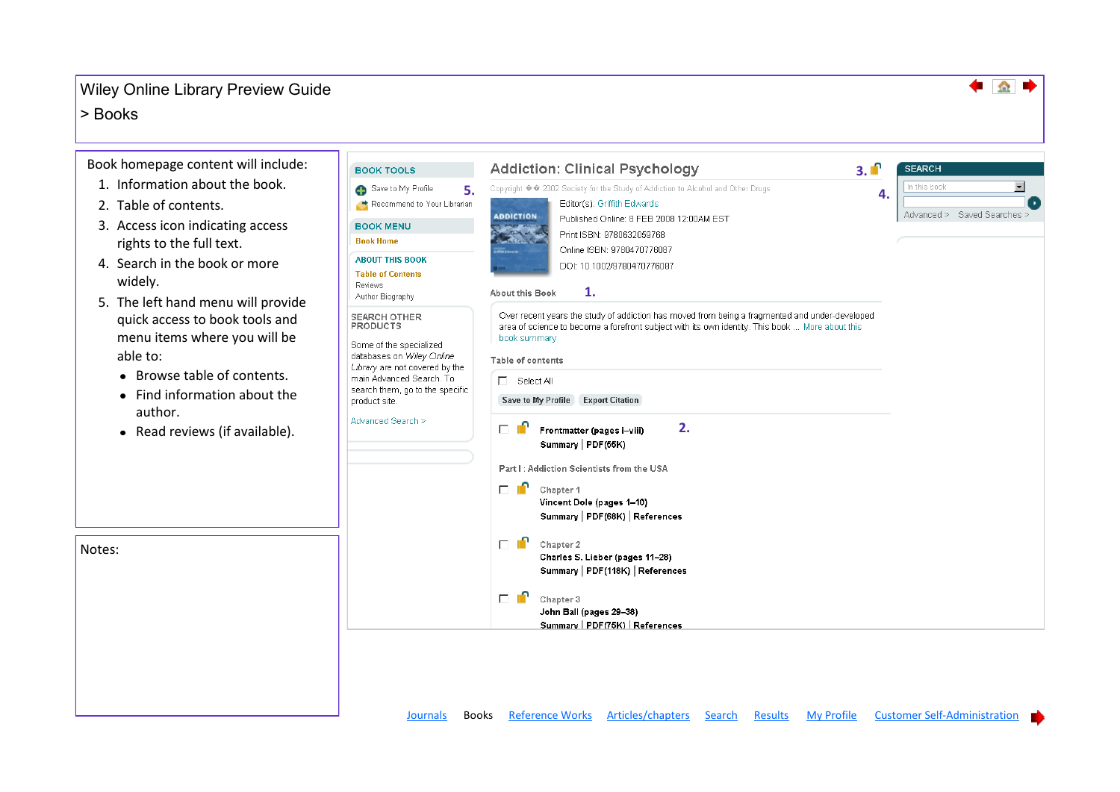#### <span id="page-1-0"></span> $\geq$  Books

Notes:

Book homepage content will include:

- 1. Information about the book.
- 2. Table of contents.
- 3. Access icon indicating access rights to the full text.
- 4. Search in the book or more widely.
- 5. The left hand menu will provide quick access to book tools and menu items where you will be able to:
	- Browse table of contents.
	- Find information about the author.
	- Read reviews (if available).



♠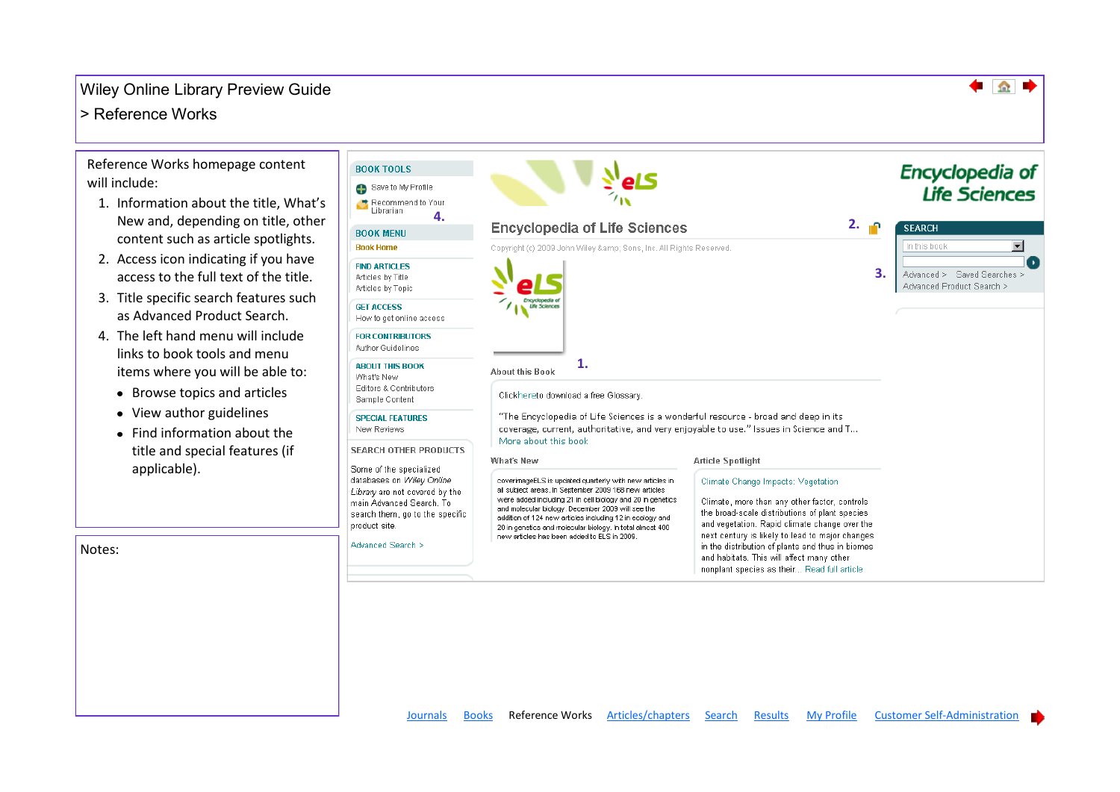## <span id="page-2-0"></span>> Reference Works

Reference Works homepage content will include:

- 1. Information about the title, What's New and, depending on title, other content such as article spotlights.
- 2. Access icon indicating if you have access to the full text of the title.
- 3. Title specific search features such as Advanced Product Search.
- 4. The left hand menu will include links to book tools and menu items where you will be able to:
	- Browse topics and articles
	- View author guidelines

Notes:

• Find information about the title and special features (if applicable).

| <b>BOOK TOOLS</b><br>Save to My Profile<br>Recommend to Your                                                                                                     |                                                                                                                                                                                                                                                                                                                                                                                                             |                                                                                                                                                                                                                                                                                                                                                                                           | <b>Encyclopedia of</b><br>Life Sciences                  |
|------------------------------------------------------------------------------------------------------------------------------------------------------------------|-------------------------------------------------------------------------------------------------------------------------------------------------------------------------------------------------------------------------------------------------------------------------------------------------------------------------------------------------------------------------------------------------------------|-------------------------------------------------------------------------------------------------------------------------------------------------------------------------------------------------------------------------------------------------------------------------------------------------------------------------------------------------------------------------------------------|----------------------------------------------------------|
| Librarian<br>4.<br><b>BOOK MENU</b>                                                                                                                              | <b>Encyclopedia of Life Sciences</b>                                                                                                                                                                                                                                                                                                                                                                        | 2.                                                                                                                                                                                                                                                                                                                                                                                        | <b>SEARCH</b><br>$\mathbf{r}$<br>In this book            |
| <b>Book Home</b><br><b>FIND ARTICLES</b><br>Articles by Title<br>Articles by Topic                                                                               | Copyright (c) 2009 John Wiley & Sons, Inc. All Rights Reserved.                                                                                                                                                                                                                                                                                                                                             | $\overline{3}$ .                                                                                                                                                                                                                                                                                                                                                                          | Advanced > Saved Searches ><br>Advanced Product Search > |
| <b>GET ACCESS</b><br>How to get online access                                                                                                                    |                                                                                                                                                                                                                                                                                                                                                                                                             |                                                                                                                                                                                                                                                                                                                                                                                           |                                                          |
| <b>FOR CONTRIBUTORS</b><br>Author Guidelines                                                                                                                     |                                                                                                                                                                                                                                                                                                                                                                                                             |                                                                                                                                                                                                                                                                                                                                                                                           |                                                          |
| <b>ABOUT THIS BOOK</b><br>What's New<br>Editors & Contributors<br>Sample Content                                                                                 | 1.<br><b>About this Book</b><br>Clickhereto download a free Glossary.                                                                                                                                                                                                                                                                                                                                       |                                                                                                                                                                                                                                                                                                                                                                                           |                                                          |
| <b>SPECIAL FEATURES</b><br>New Reviews                                                                                                                           | "The Encyclopedia of Life Sciences is a wonderful resource - broad and deep in its<br>coverage, current, authoritative, and very enjoyable to use." Issues in Science and T<br>More about this book                                                                                                                                                                                                         |                                                                                                                                                                                                                                                                                                                                                                                           |                                                          |
| <b>SEARCH OTHER PRODUCTS</b><br>Some of the specialized                                                                                                          | What's New                                                                                                                                                                                                                                                                                                                                                                                                  | <b>Article Spotlight</b>                                                                                                                                                                                                                                                                                                                                                                  |                                                          |
| databases on Wiley Online<br>Library are not covered by the<br>main Advanced Search, To<br>search them, go to the specific<br>product site.<br>Advanced Search > | coverimageELS is updated quarterly with new articles in<br>all subject areas. In September 2009 168 new articles<br>were added including 21 in cell biology and 20 in genetics<br>and molecular biology. December 2009 will see the<br>addition of 124 new articles including 12 in ecology and<br>20 in genetics and molecular biology. In total almost 400<br>new articles has been added to ELS in 2009. | Climate Change Impacts: Vegetation<br>Climate, more than any other factor, controls<br>the broad-scale distributions of plant species<br>and vegetation. Rapid climate change over the<br>next century is likely to lead to major changes<br>in the distribution of plants and thus in biomes<br>and habitats. This will affect many other<br>nonplant species as their Read full article |                                                          |

♠

[Journals](#page-0-0) [Books](#page-1-0) Reference Works [Articles/chapters](#page-3-0) [Search](#page-4-0) [Results](#page-5-0) [My Profile](#page-6-0) [Customer Self-Administration](#page-7-0)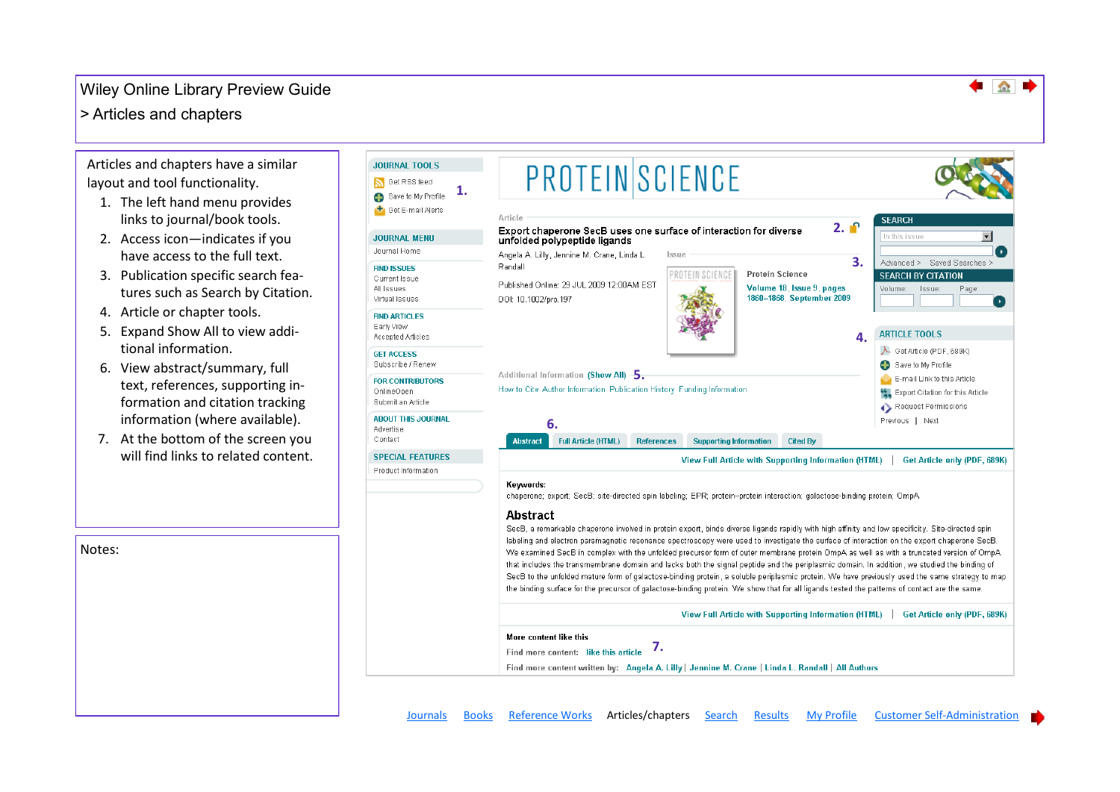#### <span id="page-3-0"></span>> Articles and chapters

Articles and chapters have a similar layout and tool functionality.

- 1. The left hand menu provides links to journal/book tools.
- 2. Access icon—indicates if you have access to the full text.
- 3. Publication specific search features such as Search by Citation.
- 4. Article or chapter tools.
- 5. Expand Show All to view additional information.
- 6. View abstract/summary, full text, references, supporting information and citation tracking information (where available).
- 7. At the bottom of the screen you will find links to related content.

Notes:

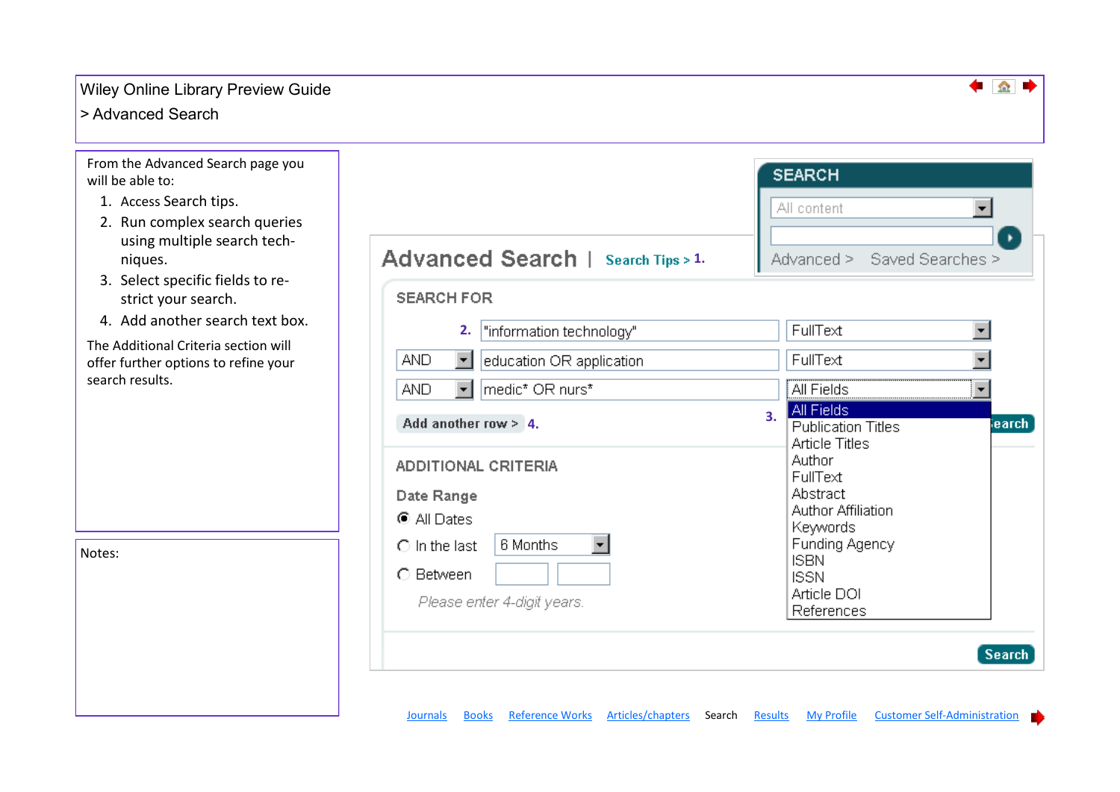## <span id="page-4-0"></span>> Advanced Search

From the Advanced Search page you will be able to:

- 1. Access Search tips.
- 2. Run complex search queries using multiple search techniques.
- 3. Select specific fields to restrict your search.
- 4. Add another search text box.

The Additional Criteria section will offer further options to refine your search results.

Notes:

| Advanced Search   Search Tips > 1.     | Advanced > Saved Searches >                                                        |  |
|----------------------------------------|------------------------------------------------------------------------------------|--|
| <b>SEARCH FOR</b>                      |                                                                                    |  |
| "information technology"<br>2.         | FullText                                                                           |  |
| <b>AND</b><br>education OR application | FullText                                                                           |  |
| medic* OR nurs*<br>AND.                | All Fields                                                                         |  |
| Add another row > 4.                   | All Fields<br>3 <sub>1</sub><br><b>Publication Titles</b><br><b>Article Titles</b> |  |
| <b>ADDITIONAL CRITERIA</b>             | Author<br>FullText                                                                 |  |
| Date Range<br>$\bullet$ All Dates      | Abstract<br><b>Author Affiliation</b>                                              |  |
| 6 Months<br>$\bigcirc$ in the last     | Keywords<br>Funding Agency                                                         |  |
| C Between                              | <b>ISBN</b><br><b>ISSN</b>                                                         |  |
| Please enter 4-digit years.            | Article DOI<br>References                                                          |  |

**SEARCH** 

 $\Omega$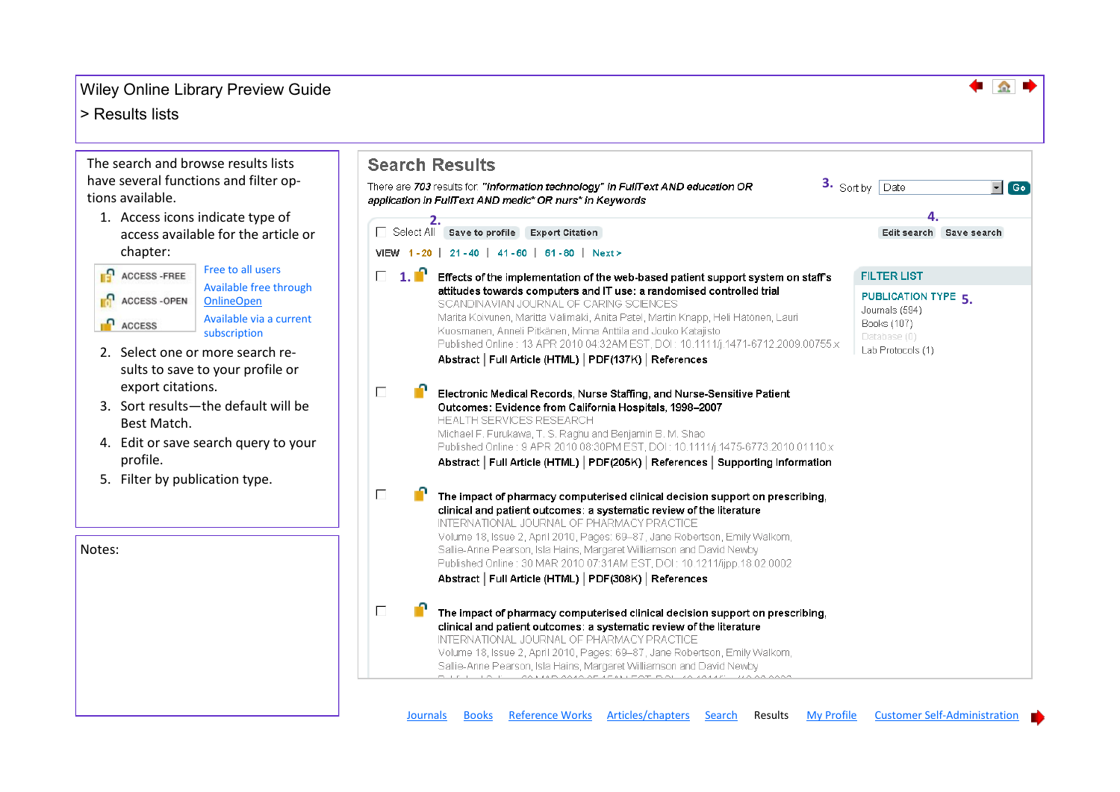#### <span id="page-5-0"></span>> Results lists

The search and browse results lists have several functions and filter options available.

1. Access icons indicate type of access available for the article or chapter:



Available free through **OnlineOpen** Available via a current

subscription

- 2. Select one or more search results to save to your profile or export citations.
- 3. Sort results—the default will be Best Match.
- 4. Edit or save search query to your profile.
- 5. Filter by publication type.

Notes:

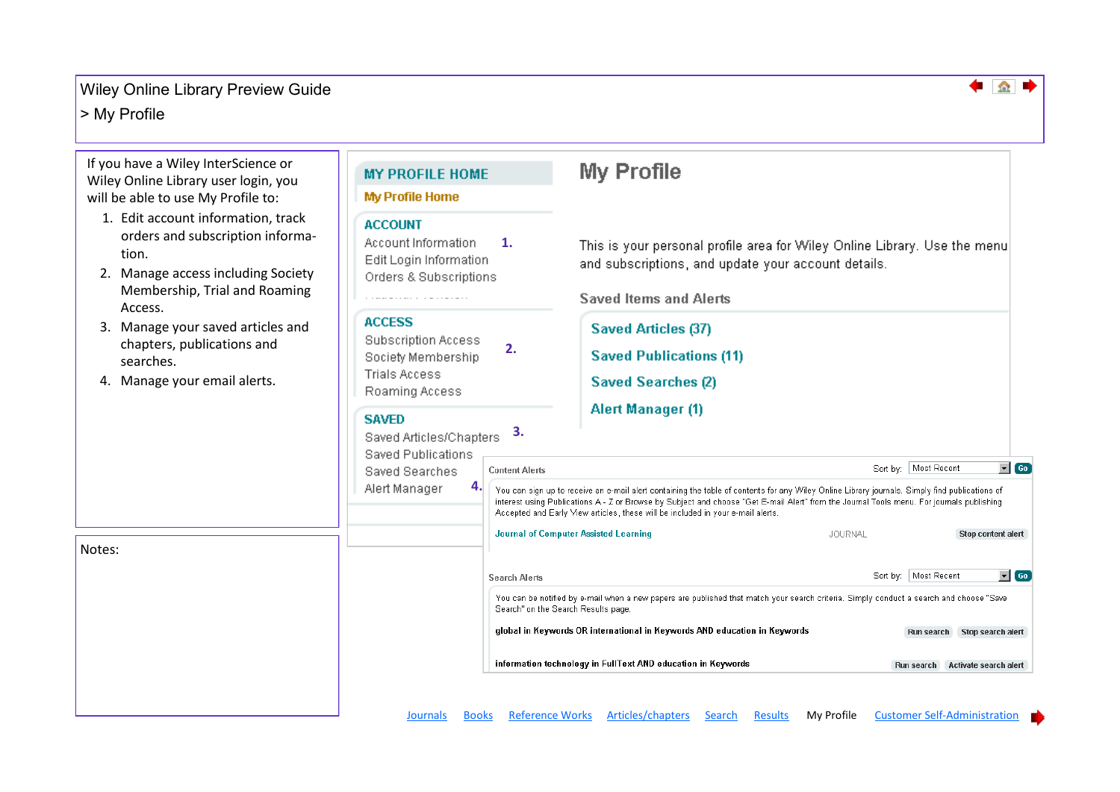#### <span id="page-6-0"></span>> My Profile



♠